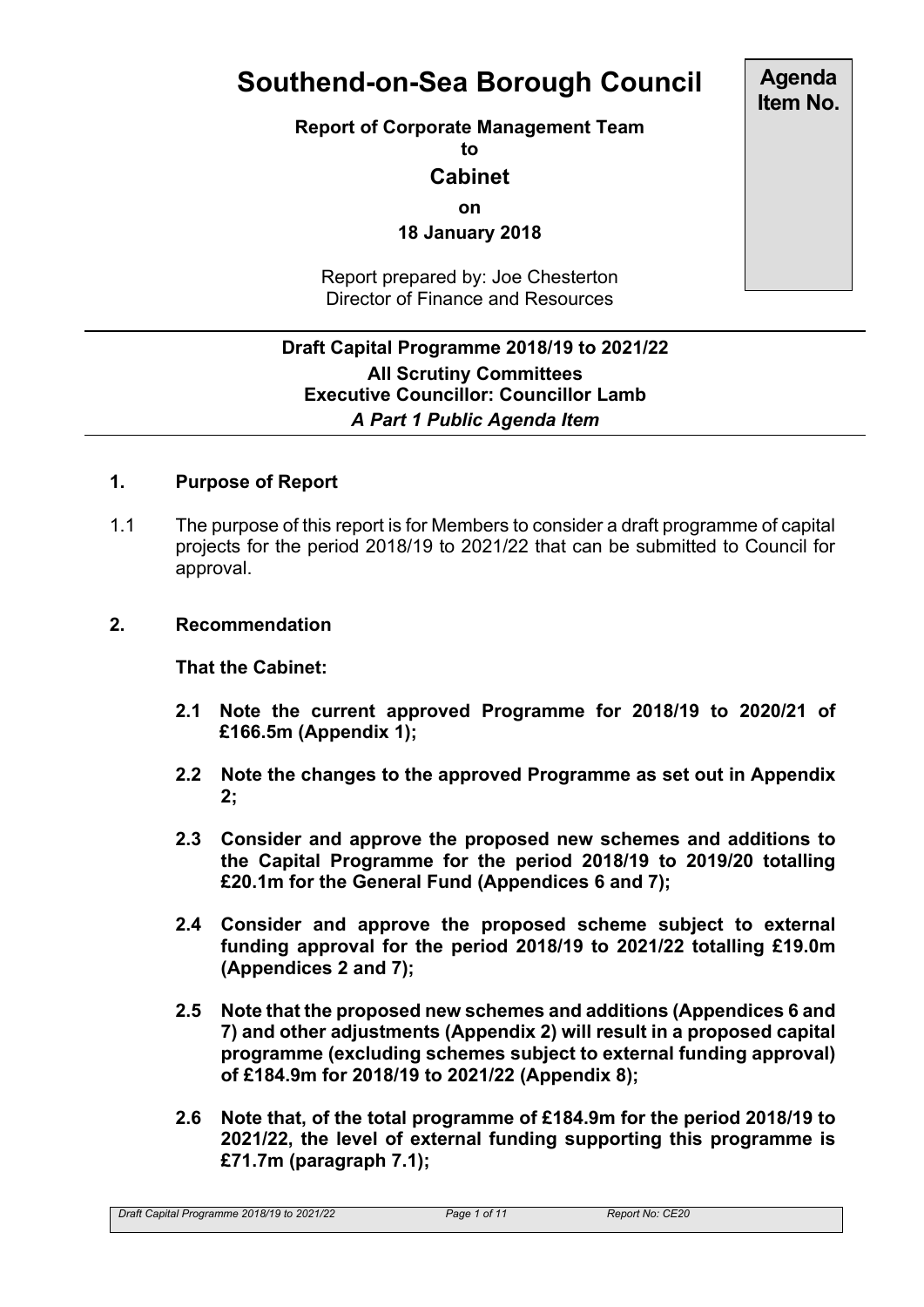# **Southend-on-Sea Borough Council**

#### **Report of Corporate Management Team**

**to**

# **Cabinet**

**on**

**18 January 2018**

Report prepared by: Joe Chesterton Director of Finance and Resources

# **Draft Capital Programme 2018/19 to 2021/22 All Scrutiny Committees Executive Councillor: Councillor Lamb** *A Part 1 Public Agenda Item*

# **1. Purpose of Report**

1.1 The purpose of this report is for Members to consider a draft programme of capital projects for the period 2018/19 to 2021/22 that can be submitted to Council for approval.

#### **2. Recommendation**

**That the Cabinet:**

- **2.1 Note the current approved Programme for 2018/19 to 2020/21 of £166.5m (Appendix 1);**
- **2.2 Note the changes to the approved Programme as set out in Appendix 2;**
- **2.3 Consider and approve the proposed new schemes and additions to the Capital Programme for the period 2018/19 to 2019/20 totalling £20.1m for the General Fund (Appendices 6 and 7);**
- **2.4 Consider and approve the proposed scheme subject to external funding approval for the period 2018/19 to 2021/22 totalling £19.0m (Appendices 2 and 7);**
- **2.5 Note that the proposed new schemes and additions (Appendices 6 and 7) and other adjustments (Appendix 2) will result in a proposed capital programme (excluding schemes subject to external funding approval) of £184.9m for 2018/19 to 2021/22 (Appendix 8);**
- **2.6 Note that, of the total programme of £184.9m for the period 2018/19 to 2021/22, the level of external funding supporting this programme is £71.7m (paragraph 7.1);**

**Agenda Item No.**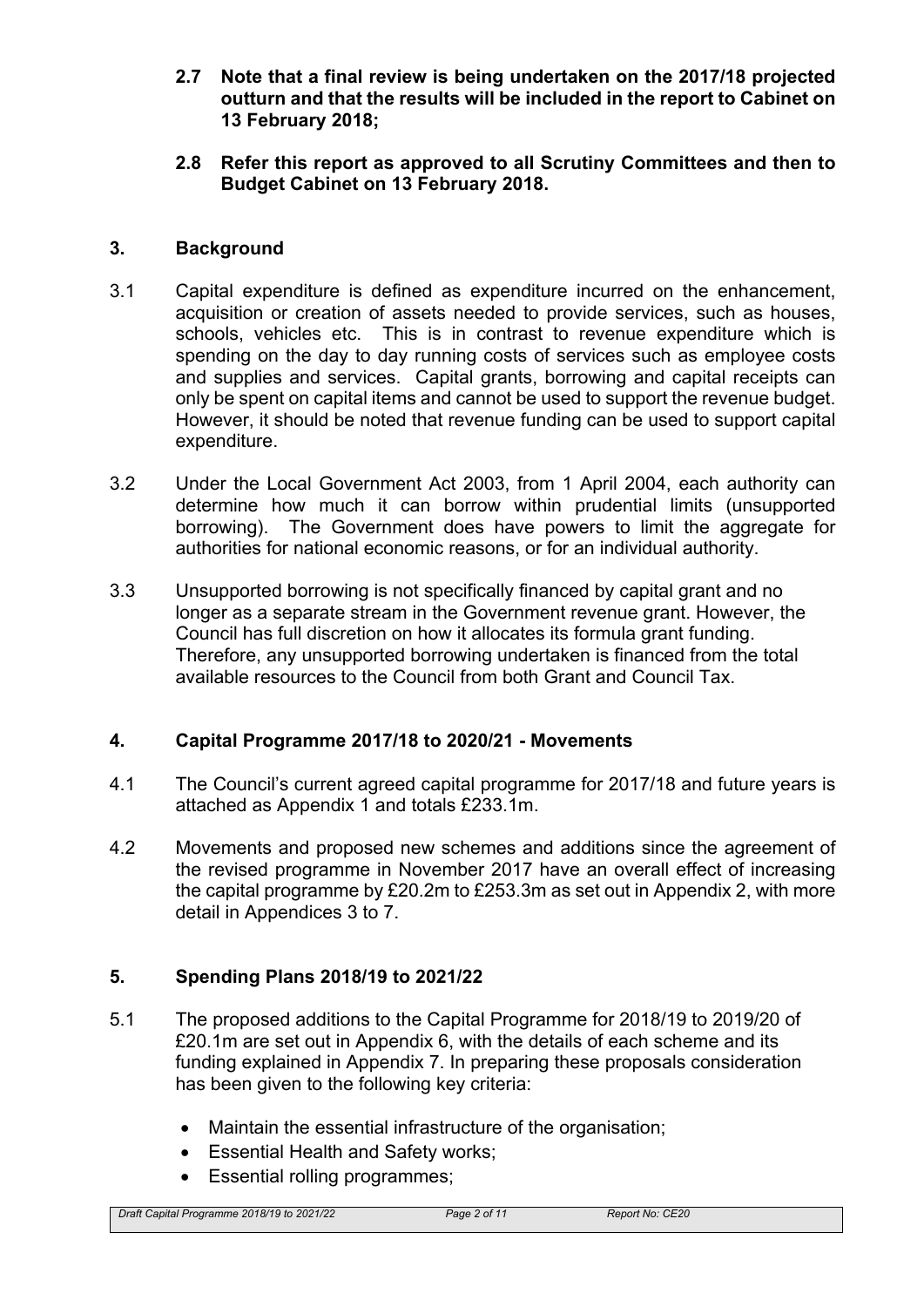- **2.7 Note that a final review is being undertaken on the 2017/18 projected outturn and that the results will be included in the report to Cabinet on 13 February 2018;**
- **2.8 Refer this report as approved to all Scrutiny Committees and then to Budget Cabinet on 13 February 2018.**

## **3. Background**

- 3.1 Capital expenditure is defined as expenditure incurred on the enhancement, acquisition or creation of assets needed to provide services, such as houses, schools, vehicles etc. This is in contrast to revenue expenditure which is spending on the day to day running costs of services such as employee costs and supplies and services. Capital grants, borrowing and capital receipts can only be spent on capital items and cannot be used to support the revenue budget. However, it should be noted that revenue funding can be used to support capital expenditure.
- 3.2 Under the Local Government Act 2003, from 1 April 2004, each authority can determine how much it can borrow within prudential limits (unsupported borrowing). The Government does have powers to limit the aggregate for authorities for national economic reasons, or for an individual authority.
- 3.3 Unsupported borrowing is not specifically financed by capital grant and no longer as a separate stream in the Government revenue grant. However, the Council has full discretion on how it allocates its formula grant funding. Therefore, any unsupported borrowing undertaken is financed from the total available resources to the Council from both Grant and Council Tax.

# **4. Capital Programme 2017/18 to 2020/21 - Movements**

- 4.1 The Council's current agreed capital programme for 2017/18 and future years is attached as Appendix 1 and totals £233.1m.
- 4.2 Movements and proposed new schemes and additions since the agreement of the revised programme in November 2017 have an overall effect of increasing the capital programme by £20.2m to £253.3m as set out in Appendix 2, with more detail in Appendices 3 to 7.

# **5. Spending Plans 2018/19 to 2021/22**

- 5.1 The proposed additions to the Capital Programme for 2018/19 to 2019/20 of £20.1m are set out in Appendix 6, with the details of each scheme and its funding explained in Appendix 7. In preparing these proposals consideration has been given to the following key criteria:
	- Maintain the essential infrastructure of the organisation;
	- Essential Health and Safety works;
	- Essential rolling programmes;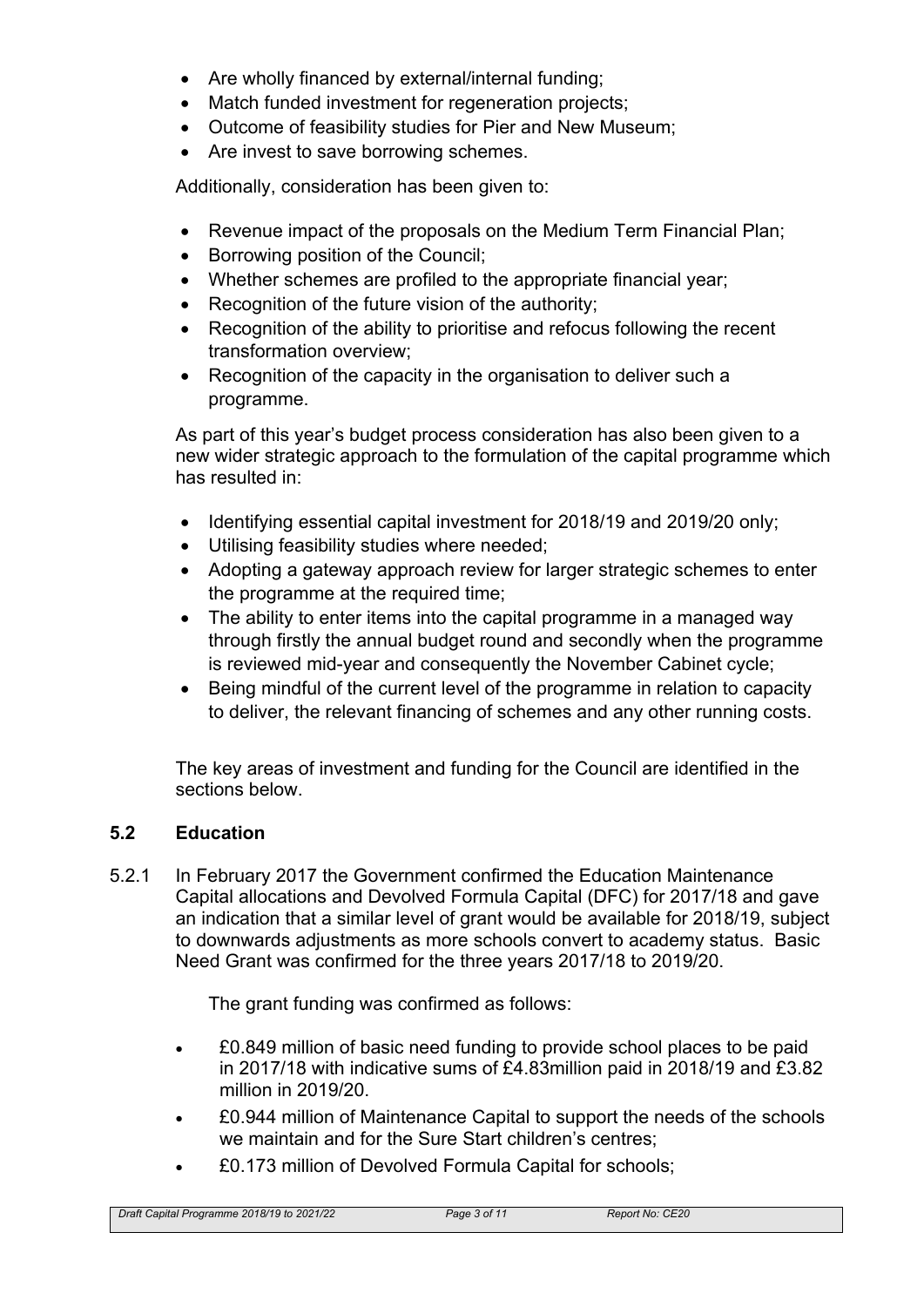- Are wholly financed by external/internal funding;
- Match funded investment for regeneration projects;
- Outcome of feasibility studies for Pier and New Museum;
- Are invest to save borrowing schemes.

Additionally, consideration has been given to:

- Revenue impact of the proposals on the Medium Term Financial Plan;
- Borrowing position of the Council;
- Whether schemes are profiled to the appropriate financial year;
- Recognition of the future vision of the authority;
- Recognition of the ability to prioritise and refocus following the recent transformation overview;
- Recognition of the capacity in the organisation to deliver such a programme.

As part of this year's budget process consideration has also been given to a new wider strategic approach to the formulation of the capital programme which has resulted in:

- Identifying essential capital investment for 2018/19 and 2019/20 only;
- Utilising feasibility studies where needed;
- Adopting a gateway approach review for larger strategic schemes to enter the programme at the required time;
- The ability to enter items into the capital programme in a managed way through firstly the annual budget round and secondly when the programme is reviewed mid-year and consequently the November Cabinet cycle;
- Being mindful of the current level of the programme in relation to capacity to deliver, the relevant financing of schemes and any other running costs.

The key areas of investment and funding for the Council are identified in the sections below.

# **5.2 Education**

5.2.1 In February 2017 the Government confirmed the Education Maintenance Capital allocations and Devolved Formula Capital (DFC) for 2017/18 and gave an indication that a similar level of grant would be available for 2018/19, subject to downwards adjustments as more schools convert to academy status. Basic Need Grant was confirmed for the three years 2017/18 to 2019/20.

The grant funding was confirmed as follows:

- £0.849 million of basic need funding to provide school places to be paid in 2017/18 with indicative sums of £4.83million paid in 2018/19 and £3.82 million in 2019/20.
- £0.944 million of Maintenance Capital to support the needs of the schools we maintain and for the Sure Start children's centres;
- £0.173 million of Devolved Formula Capital for schools;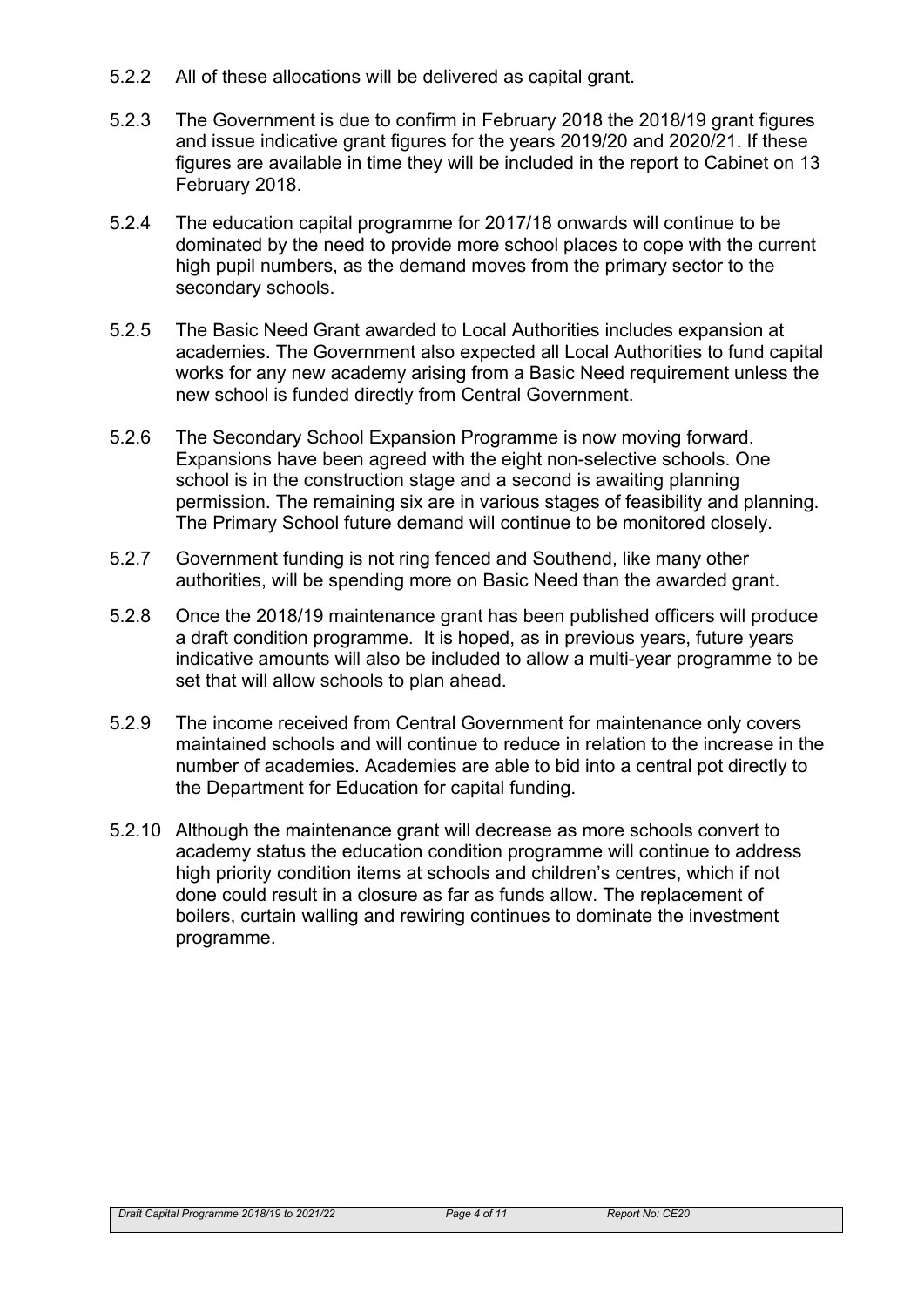- 5.2.2 All of these allocations will be delivered as capital grant.
- 5.2.3 The Government is due to confirm in February 2018 the 2018/19 grant figures and issue indicative grant figures for the years 2019/20 and 2020/21. If these figures are available in time they will be included in the report to Cabinet on 13 February 2018.
- 5.2.4 The education capital programme for 2017/18 onwards will continue to be dominated by the need to provide more school places to cope with the current high pupil numbers, as the demand moves from the primary sector to the secondary schools.
- 5.2.5 The Basic Need Grant awarded to Local Authorities includes expansion at academies. The Government also expected all Local Authorities to fund capital works for any new academy arising from a Basic Need requirement unless the new school is funded directly from Central Government.
- 5.2.6 The Secondary School Expansion Programme is now moving forward. Expansions have been agreed with the eight non-selective schools. One school is in the construction stage and a second is awaiting planning permission. The remaining six are in various stages of feasibility and planning. The Primary School future demand will continue to be monitored closely.
- 5.2.7 Government funding is not ring fenced and Southend, like many other authorities, will be spending more on Basic Need than the awarded grant.
- 5.2.8 Once the 2018/19 maintenance grant has been published officers will produce a draft condition programme. It is hoped, as in previous years, future years indicative amounts will also be included to allow a multi-year programme to be set that will allow schools to plan ahead.
- 5.2.9 The income received from Central Government for maintenance only covers maintained schools and will continue to reduce in relation to the increase in the number of academies. Academies are able to bid into a central pot directly to the Department for Education for capital funding.
- 5.2.10 Although the maintenance grant will decrease as more schools convert to academy status the education condition programme will continue to address high priority condition items at schools and children's centres, which if not done could result in a closure as far as funds allow. The replacement of boilers, curtain walling and rewiring continues to dominate the investment programme.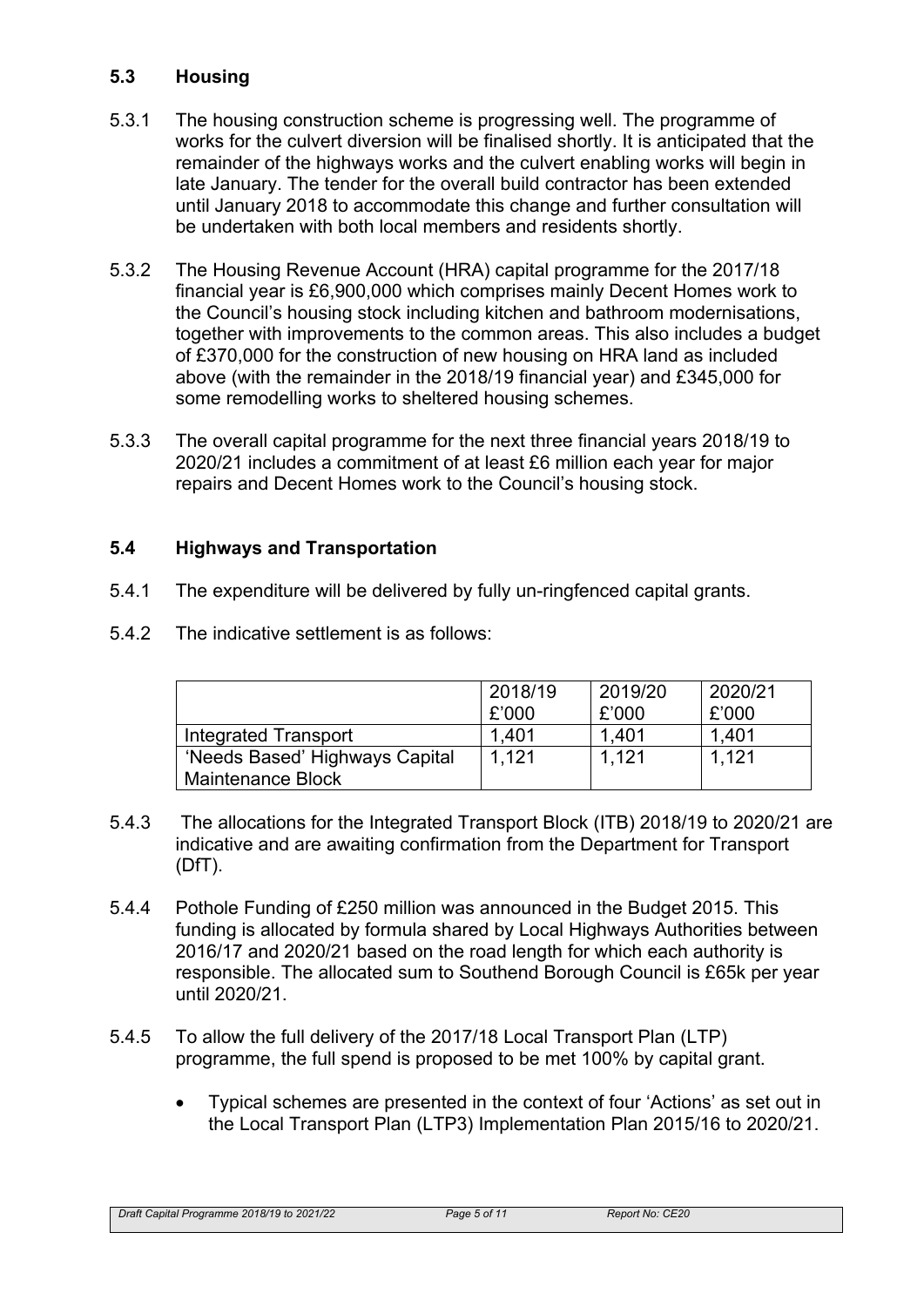# **5.3 Housing**

- 5.3.1 The housing construction scheme is progressing well. The programme of works for the culvert diversion will be finalised shortly. It is anticipated that the remainder of the highways works and the culvert enabling works will begin in late January. The tender for the overall build contractor has been extended until January 2018 to accommodate this change and further consultation will be undertaken with both local members and residents shortly.
- 5.3.2 The Housing Revenue Account (HRA) capital programme for the 2017/18 financial year is £6,900,000 which comprises mainly Decent Homes work to the Council's housing stock including kitchen and bathroom modernisations, together with improvements to the common areas. This also includes a budget of £370,000 for the construction of new housing on HRA land as included above (with the remainder in the 2018/19 financial year) and £345,000 for some remodelling works to sheltered housing schemes.
- 5.3.3 The overall capital programme for the next three financial years 2018/19 to 2020/21 includes a commitment of at least £6 million each year for major repairs and Decent Homes work to the Council's housing stock.

# **5.4 Highways and Transportation**

- 5.4.1 The expenditure will be delivered by fully un-ringfenced capital grants.
- 5.4.2 The indicative settlement is as follows:

|                                | 2018/19<br>£'000 | 2019/20<br>£'000 | 2020/21<br>£'000 |
|--------------------------------|------------------|------------------|------------------|
| Integrated Transport           | 1.401            | 1.401            | 1.401            |
| 'Needs Based' Highways Capital | 1.121            | 1.121            | 1.121            |
| <b>Maintenance Block</b>       |                  |                  |                  |

- 5.4.3 The allocations for the Integrated Transport Block (ITB) 2018/19 to 2020/21 are indicative and are awaiting confirmation from the Department for Transport (DfT).
- 5.4.4 Pothole Funding of £250 million was announced in the Budget 2015. This funding is allocated by formula shared by Local Highways Authorities between 2016/17 and 2020/21 based on the road length for which each authority is responsible. The allocated sum to Southend Borough Council is £65k per year until 2020/21.
- 5.4.5 To allow the full delivery of the 2017/18 Local Transport Plan (LTP) programme, the full spend is proposed to be met 100% by capital grant.
	- Typical schemes are presented in the context of four 'Actions' as set out in the Local Transport Plan (LTP3) Implementation Plan 2015/16 to 2020/21.

*Draft Capital Programme 2018/19 to 2021/22 Page 5 of 11 Report No: CE20*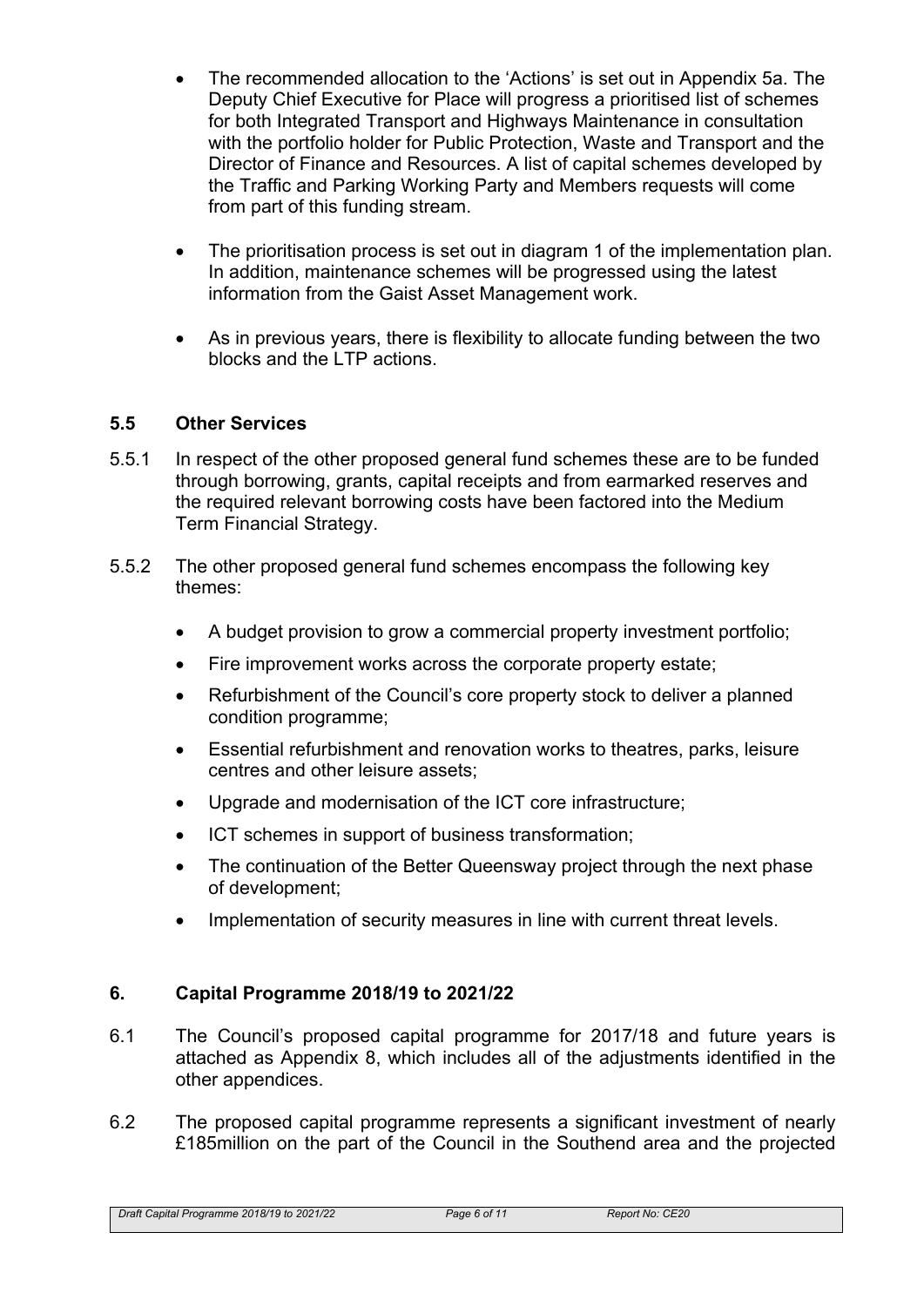- The recommended allocation to the 'Actions' is set out in Appendix 5a. The Deputy Chief Executive for Place will progress a prioritised list of schemes for both Integrated Transport and Highways Maintenance in consultation with the portfolio holder for Public Protection, Waste and Transport and the Director of Finance and Resources. A list of capital schemes developed by the Traffic and Parking Working Party and Members requests will come from part of this funding stream.
- The prioritisation process is set out in diagram 1 of the implementation plan. In addition, maintenance schemes will be progressed using the latest information from the Gaist Asset Management work.
- As in previous years, there is flexibility to allocate funding between the two blocks and the LTP actions.

#### **5.5 Other Services**

- 5.5.1 In respect of the other proposed general fund schemes these are to be funded through borrowing, grants, capital receipts and from earmarked reserves and the required relevant borrowing costs have been factored into the Medium Term Financial Strategy.
- 5.5.2 The other proposed general fund schemes encompass the following key themes:
	- A budget provision to grow a commercial property investment portfolio;
	- Fire improvement works across the corporate property estate;
	- Refurbishment of the Council's core property stock to deliver a planned condition programme;
	- Essential refurbishment and renovation works to theatres, parks, leisure centres and other leisure assets;
	- Upgrade and modernisation of the ICT core infrastructure;
	- ICT schemes in support of business transformation;
	- The continuation of the Better Queensway project through the next phase of development;
	- Implementation of security measures in line with current threat levels.

# **6. Capital Programme 2018/19 to 2021/22**

- 6.1 The Council's proposed capital programme for 2017/18 and future years is attached as Appendix 8, which includes all of the adjustments identified in the other appendices.
- 6.2 The proposed capital programme represents a significant investment of nearly £185million on the part of the Council in the Southend area and the projected

*Draft Capital Programme 2018/19 to 2021/22 Page 6 of 11 Report No: CE20*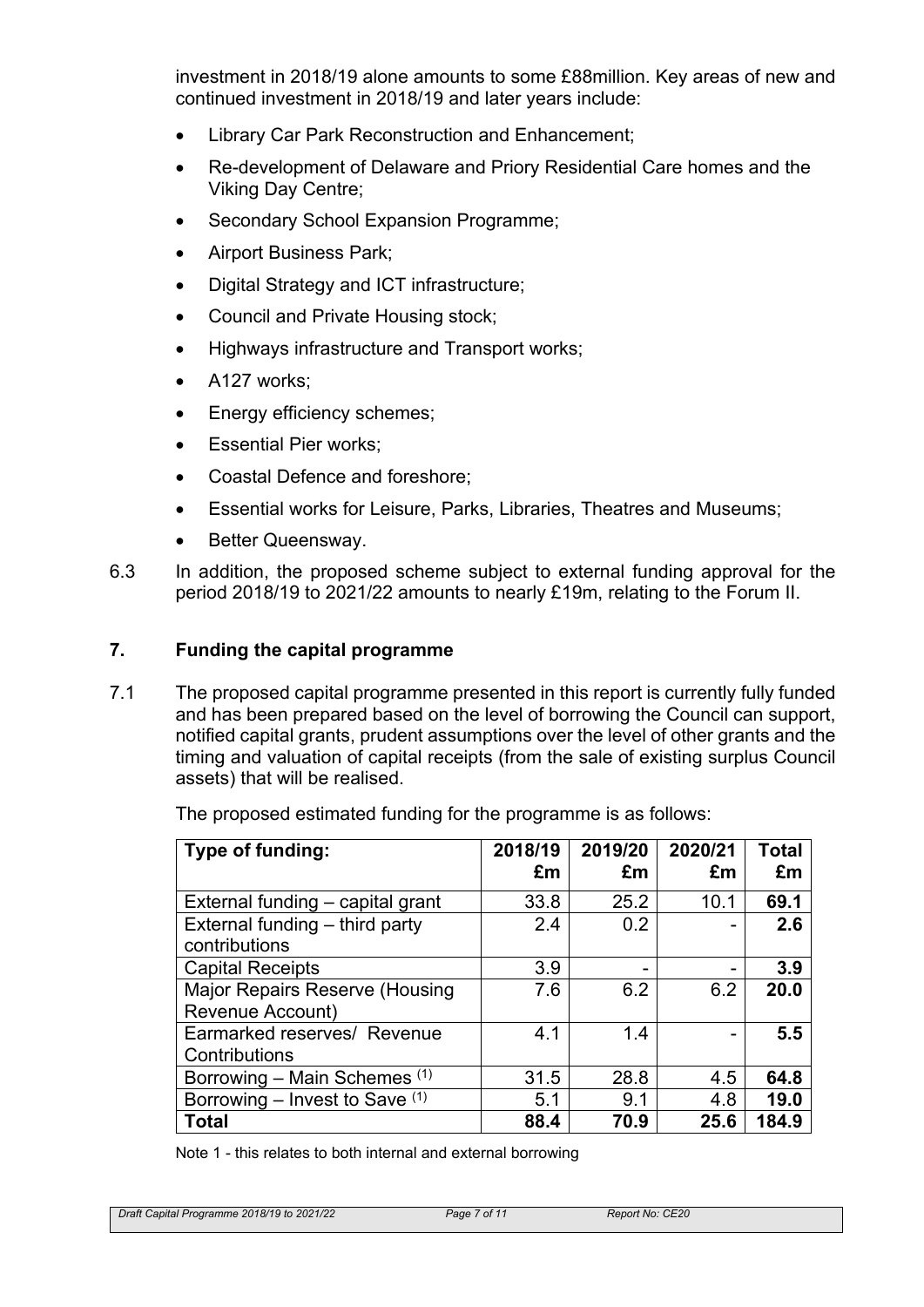investment in 2018/19 alone amounts to some £88million. Key areas of new and continued investment in 2018/19 and later years include:

- Library Car Park Reconstruction and Enhancement;
- Re-development of Delaware and Priory Residential Care homes and the Viking Day Centre;
- Secondary School Expansion Programme;
- Airport Business Park;
- Digital Strategy and ICT infrastructure:
- Council and Private Housing stock;
- Highways infrastructure and Transport works;
- A127 works;
- Energy efficiency schemes;
- Essential Pier works;
- Coastal Defence and foreshore;
- Essential works for Leisure, Parks, Libraries, Theatres and Museums;
- Better Queensway.
- 6.3 In addition, the proposed scheme subject to external funding approval for the period 2018/19 to 2021/22 amounts to nearly £19m, relating to the Forum II.

#### **7. Funding the capital programme**

7.1 The proposed capital programme presented in this report is currently fully funded and has been prepared based on the level of borrowing the Council can support, notified capital grants, prudent assumptions over the level of other grants and the timing and valuation of capital receipts (from the sale of existing surplus Council assets) that will be realised.

| Type of funding:                                          | 2018/19<br>£m | 2019/20<br>£m | 2020/21<br>£m | Total<br>£m |
|-----------------------------------------------------------|---------------|---------------|---------------|-------------|
| External funding – capital grant                          | 33.8          | 25.2          | 10.1          | 69.1        |
| External funding - third party<br>contributions           | 2.4           | 0.2           |               | 2.6         |
| <b>Capital Receipts</b>                                   | 3.9           |               |               | 3.9         |
| <b>Major Repairs Reserve (Housing</b><br>Revenue Account) | 7.6           | 6.2           | 6.2           | 20.0        |
| Earmarked reserves/ Revenue<br>Contributions              | 4.1           | 1.4           |               | 5.5         |
| Borrowing – Main Schemes (1)                              | 31.5          | 28.8          | 4.5           | 64.8        |
| Borrowing – Invest to Save $(1)$                          | 5.1           | 9.1           | 4.8           | 19.0        |
| <b>Total</b>                                              | 88.4          | 70.9          | 25.6          | 184.9       |

Note 1 - this relates to both internal and external borrowing

*Draft Capital Programme 2018/19 to 2021/22 Page 7 of 11 Report No: CE20*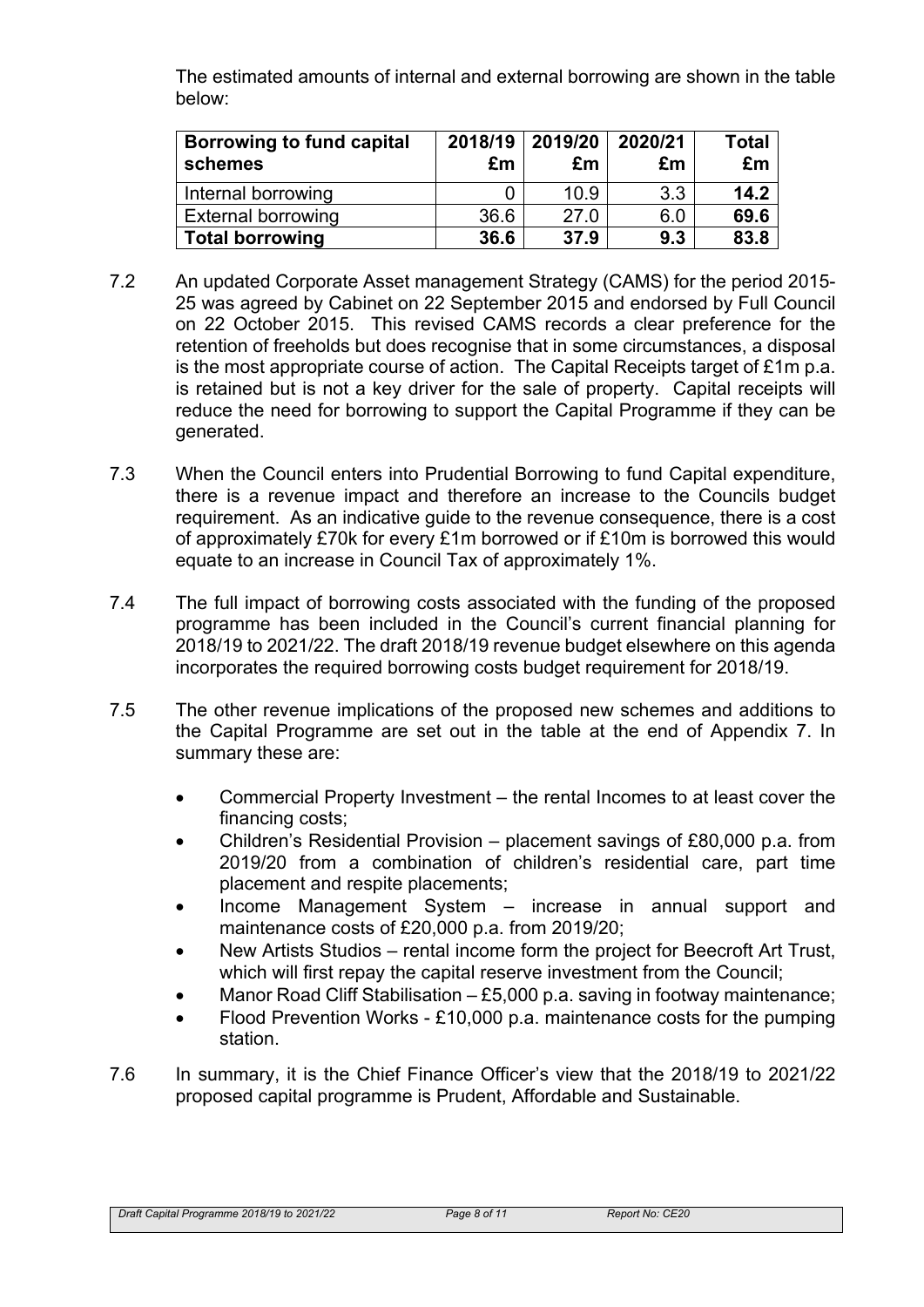The estimated amounts of internal and external borrowing are shown in the table below:

| <b>Borrowing to fund capital</b><br>schemes | 2018/19<br>£m | $\mid$ 2019/20 $\mid$<br>£m | 2020/21<br>£m | Total<br>£m |
|---------------------------------------------|---------------|-----------------------------|---------------|-------------|
| Internal borrowing                          |               | 10.9                        | 3.3           | 14.2        |
| <b>External borrowing</b>                   | 36.6          | 27.0                        | 6.0           | 69.6        |
| <b>Total borrowing</b>                      | 36.6          | 37.9                        | 9.3           | 83.8        |

- 7.2 An updated Corporate Asset management Strategy (CAMS) for the period 2015- 25 was agreed by Cabinet on 22 September 2015 and endorsed by Full Council on 22 October 2015. This revised CAMS records a clear preference for the retention of freeholds but does recognise that in some circumstances, a disposal is the most appropriate course of action. The Capital Receipts target of £1m p.a. is retained but is not a key driver for the sale of property. Capital receipts will reduce the need for borrowing to support the Capital Programme if they can be generated.
- 7.3 When the Council enters into Prudential Borrowing to fund Capital expenditure, there is a revenue impact and therefore an increase to the Councils budget requirement. As an indicative guide to the revenue consequence, there is a cost of approximately £70k for every £1m borrowed or if £10m is borrowed this would equate to an increase in Council Tax of approximately 1%.
- 7.4 The full impact of borrowing costs associated with the funding of the proposed programme has been included in the Council's current financial planning for 2018/19 to 2021/22. The draft 2018/19 revenue budget elsewhere on this agenda incorporates the required borrowing costs budget requirement for 2018/19.
- 7.5 The other revenue implications of the proposed new schemes and additions to the Capital Programme are set out in the table at the end of Appendix 7. In summary these are:
	- Commercial Property Investment the rental Incomes to at least cover the financing costs;
	- Children's Residential Provision placement savings of £80,000 p.a. from 2019/20 from a combination of children's residential care, part time placement and respite placements;
	- Income Management System increase in annual support and maintenance costs of £20,000 p.a. from 2019/20;
	- New Artists Studios rental income form the project for Beecroft Art Trust, which will first repay the capital reserve investment from the Council;
	- Manor Road Cliff Stabilisation £5,000 p.a. saving in footway maintenance;
	- Flood Prevention Works £10,000 p.a. maintenance costs for the pumping station.
- 7.6 In summary, it is the Chief Finance Officer's view that the 2018/19 to 2021/22 proposed capital programme is Prudent, Affordable and Sustainable.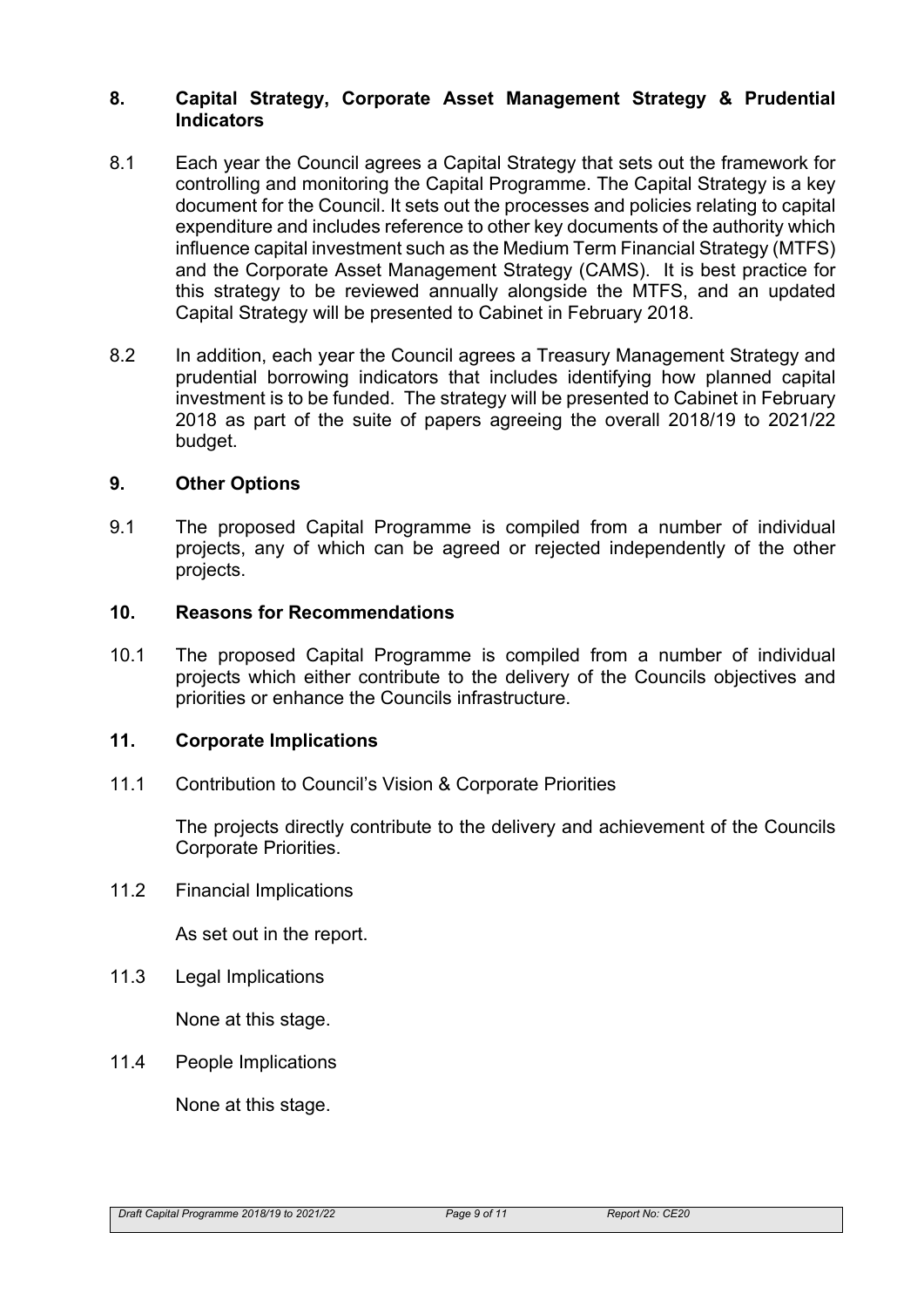#### **8. Capital Strategy, Corporate Asset Management Strategy & Prudential Indicators**

- 8.1 Each year the Council agrees a Capital Strategy that sets out the framework for controlling and monitoring the Capital Programme. The Capital Strategy is a key document for the Council. It sets out the processes and policies relating to capital expenditure and includes reference to other key documents of the authority which influence capital investment such as the Medium Term Financial Strategy (MTFS) and the Corporate Asset Management Strategy (CAMS). It is best practice for this strategy to be reviewed annually alongside the MTFS, and an updated Capital Strategy will be presented to Cabinet in February 2018.
- 8.2 In addition, each year the Council agrees a Treasury Management Strategy and prudential borrowing indicators that includes identifying how planned capital investment is to be funded. The strategy will be presented to Cabinet in February 2018 as part of the suite of papers agreeing the overall 2018/19 to 2021/22 budget.

#### **9. Other Options**

9.1 The proposed Capital Programme is compiled from a number of individual projects, any of which can be agreed or rejected independently of the other projects.

#### **10. Reasons for Recommendations**

10.1 The proposed Capital Programme is compiled from a number of individual projects which either contribute to the delivery of the Councils objectives and priorities or enhance the Councils infrastructure.

#### **11. Corporate Implications**

11.1 Contribution to Council's Vision & Corporate Priorities

The projects directly contribute to the delivery and achievement of the Councils Corporate Priorities.

11.2 Financial Implications

As set out in the report.

11.3 Legal Implications

None at this stage.

11.4 People Implications

None at this stage.

*Draft Capital Programme 2018/19 to 2021/22 Page 9 of 11 Report No: CE20*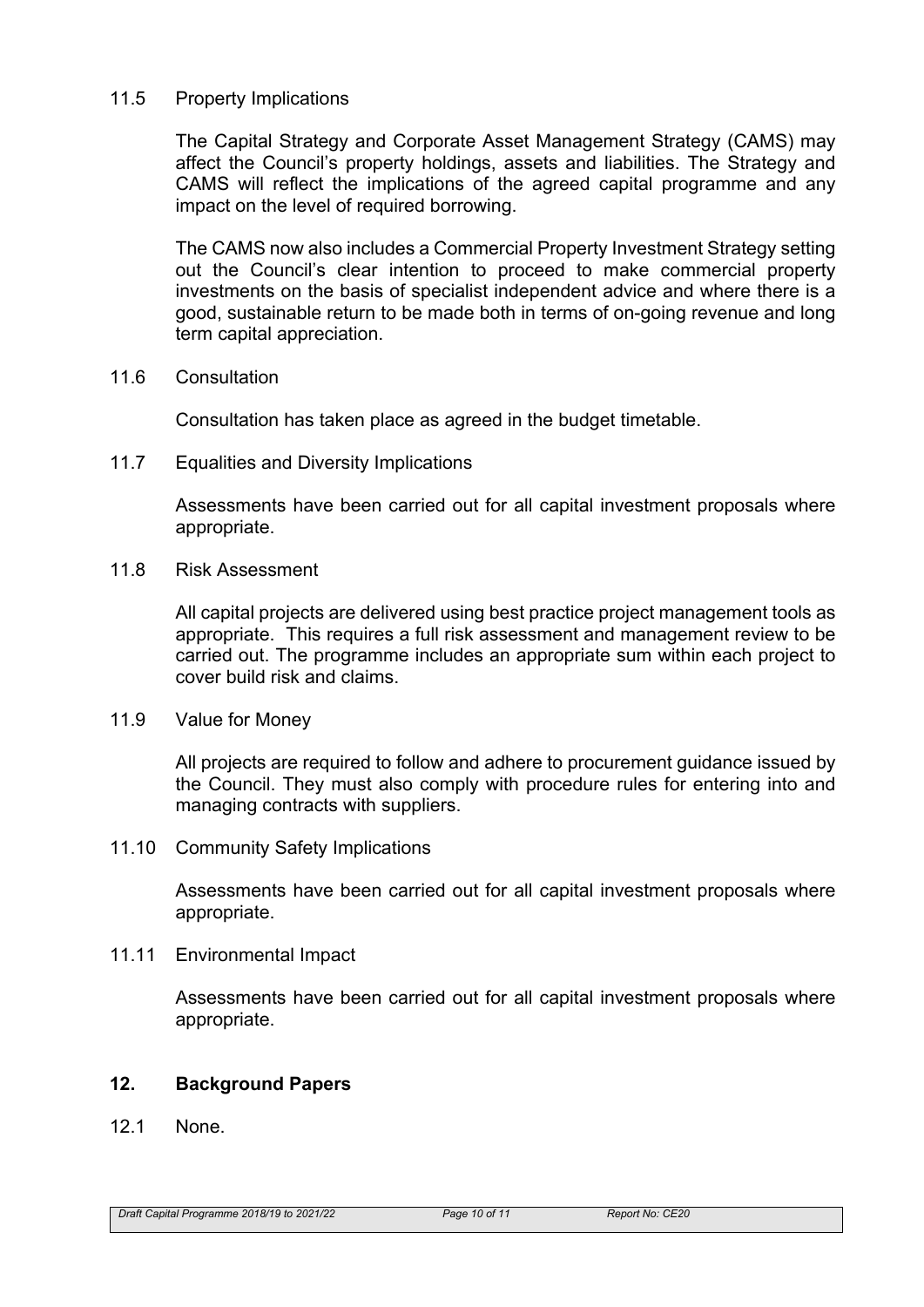#### 11.5 Property Implications

The Capital Strategy and Corporate Asset Management Strategy (CAMS) may affect the Council's property holdings, assets and liabilities. The Strategy and CAMS will reflect the implications of the agreed capital programme and any impact on the level of required borrowing.

The CAMS now also includes a Commercial Property Investment Strategy setting out the Council's clear intention to proceed to make commercial property investments on the basis of specialist independent advice and where there is a good, sustainable return to be made both in terms of on-going revenue and long term capital appreciation.

11.6 Consultation

Consultation has taken place as agreed in the budget timetable.

11.7 Equalities and Diversity Implications

Assessments have been carried out for all capital investment proposals where appropriate.

11.8 Risk Assessment

All capital projects are delivered using best practice project management tools as appropriate. This requires a full risk assessment and management review to be carried out. The programme includes an appropriate sum within each project to cover build risk and claims.

11.9 Value for Money

All projects are required to follow and adhere to procurement guidance issued by the Council. They must also comply with procedure rules for entering into and managing contracts with suppliers.

11.10 Community Safety Implications

Assessments have been carried out for all capital investment proposals where appropriate.

11.11 Environmental Impact

Assessments have been carried out for all capital investment proposals where appropriate.

#### **12. Background Papers**

12.1 None.

*Draft Capital Programme 2018/19 to 2021/22 Page 10 of 11 Report No: CE20*